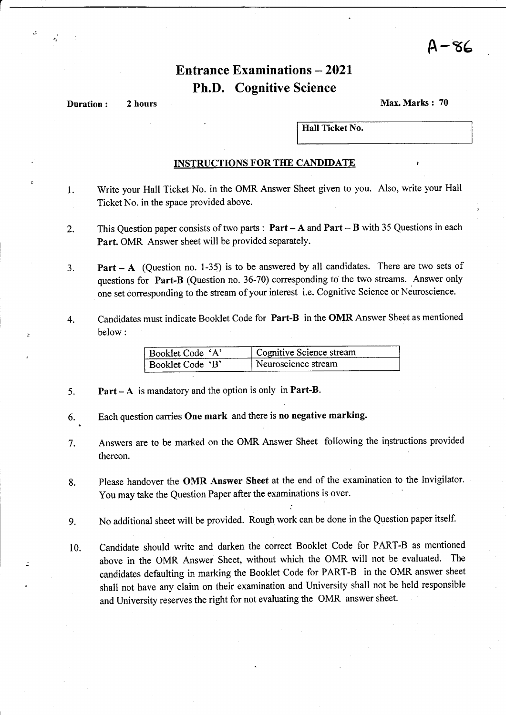<sup>A</sup>-86

## Entrance Examinations  $-2021$ Ph.D. Cognitive Science

**Duration:** 2 hours Max. Marks : 70

Hall Ticket No.

#### INSTRUCTIONS FOR THE CANDIDATE

- l. Write your Hall Ticket No. in the OMR Answer Sheet given to you. Also, write your Hall Ticket No. in the space provided above.
- This Question paper consists of two parts :  $Part A$  and  $Part B$  with 35 Questions in each Part. OMR Answer sheet will be provided separately. 2.
- **Part A** (Question no. 1-35) is to be answered by all candidates. There are two sets of questions for Part-B (Question no. 36-70) corresponding to the two streams. Answer only one set corresponding to the stream of your interest i.e. Cognitive Science or Neuroscience. J.
- Candidates must indicate Booklet Code for Part-B in the OMR Answer Sheet as mentioned below: 4.

| Booklet Code 'A' | Cognitive Science stream |
|------------------|--------------------------|
| Booklet Code 'B' | Neuroscience stream      |

- 5. Part - A is mandatory and the option is only in Part-B.
- 6.. Each question carries One mark and there is no negative marking.
- 7. Answers are to be marked on the OMR Answer Sheet following the instructions provided thereon.
- Please handover the OMR Answer Sheet at the end of the examination to the Invigilator. You may take the Question Paper after the examinations is over. 8.
- No additional sheet will be provided. Rough work can be done in the Question paper itself. 9.
- Candidate should write and darken the correct Booklet Code for PART-B as mentioned above in the OMR Answer Sheet, without which the OMR will not be evaluated. The candidates defaulting in marking the Booklet Code for PART-B in the OMR answer sheet shall not have any claim on their examination and University shall not be held responsible and University reserves the right for not evaluating the OMR answer sheet. 10.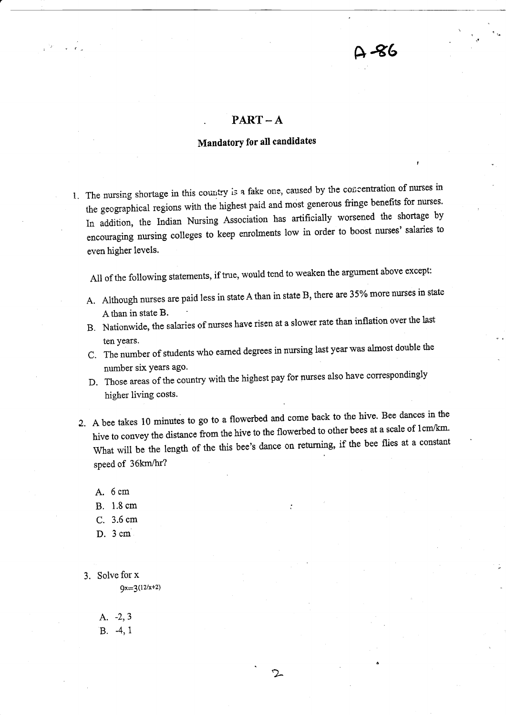## $PART-A$

## Mandatory for all candidates

1. The nursing shortage in this country is a fake one, caused by the concentration of nurses in the geographical regions with the highest paid and most generous fringe benefits for nurses. In addition, the lndian Nursing Association has artificially worsened the shortage by encouraging nursing colleges to keep enrolments low in order to boost nurses' salaries to even higher levels.

All of the following statements, if true, would tcnd to weaken the argument above except:

- A. Although nurses are paid less in state A than in state B, there are 35% more nurses in state Athan in state B.
- B. Nationwide, the salaries of nurses have risen at a slower rate than inflation over the last
- ten years.<br>C. The number of students who earned degrees in nursing last year was almost double the number six years ago.
- D. Those areas of the country with the highest pay for nurses also have correspondingly higher living costs.
- 2. A bee takes 10 minutes to go to a flowerbed and come back to the hive. Bee dances in the hive to convey the distance from the hive to the flowerbed to other bees at a scale of 1cm/km. What will be the length of the this bee's dance on returning, if the bee flies at a constant speed of 36km/hr?

2

- A. 6cm
- B. 1.8 cm
- C. 3.6 cm
- D. 3cm
- 3. Solve for x  $9x=3(12/x+2)$

A. -2,3  $B. -4, 1$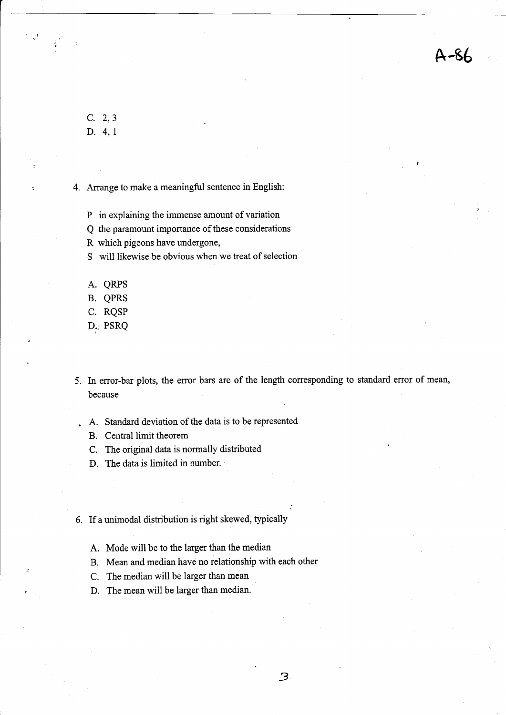A-96

c. 2,3 D. 4,I

4. Arrange to make a meaningful sentence in English:

P in explaining the immense amount of variation

Q the paramount importance of these considerations

- R which pigeons have undergone,
- S will likewise be obvious when we treat of selection
- A. QRPS
- B. QPRS
- C. RQSP
- D. PSRQ
- 5. In error-bar plots, the error bars are of the length corresponding to standard error of mean, because
- . A. Standard deviation of the data is to be represented
	- B. Central limit theorem
	- C. The original data is normally distributed
	- D. The data is limited in number.
- 6. If a unimodal diskibution is right skewed, typically
	- A. Mode will be to the larger than the median
	- B, Mean and median have no relationship with each other
	- C. The median will be larger than mean
	- D. The mean will be larger than median.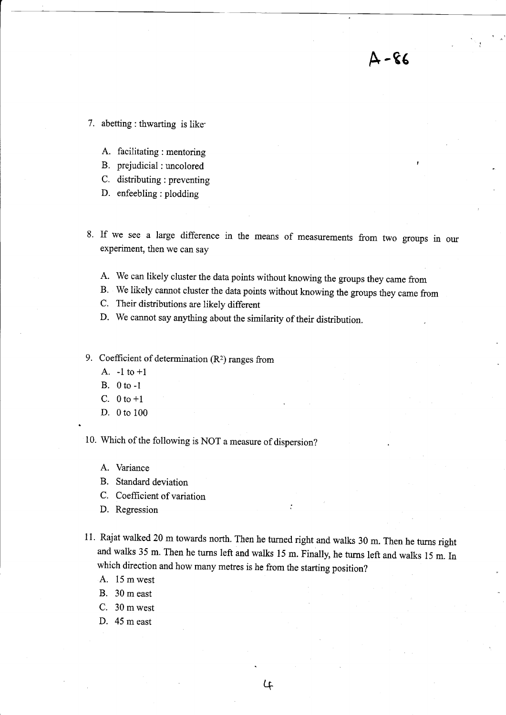7. abetting : thwarting is like.

- A. facilitating : mentoring
- B. prejudicial : uncolored
- C. distributing : preventing
- D. enfeebling : plodding
- 8. If we see a large difference in the means of measurements from two groups in our experiment, then we can say

 $A - 86$ 

- A. We can likely cluster the data points without knowing the groups they came from
- B. We likely cannot cluster the data points without knowing the groups they came from
- C. Their distributions are likely different
- D. We cannot say anything about the similarity of their distribution.
- 9. Coefficient of determination  $(R^2)$  ranges from
	- A.  $-1$  to  $+1$
	- B. 0to-1
	- C.  $0 \text{ to } +1$
	- D. 0 to <sup>100</sup>

10. Which of the following is NOT a measure of dispersion?

- A. Variance
- B. Standard deviation
- C. Coefficient of variation
- D. Regression
- 11. Rajat walked 20 m towards north. Then he turned right and walls 30 m. Then he turns right and walks 35 m. Then he turns left and walks 15 m. Finally, he turns left and walks 15 m. In which direction and how many metres is he from the starting position?
	- A. 15 mwest
	- B. 30 m east
	- C. 30 m west
	- D. 45 m east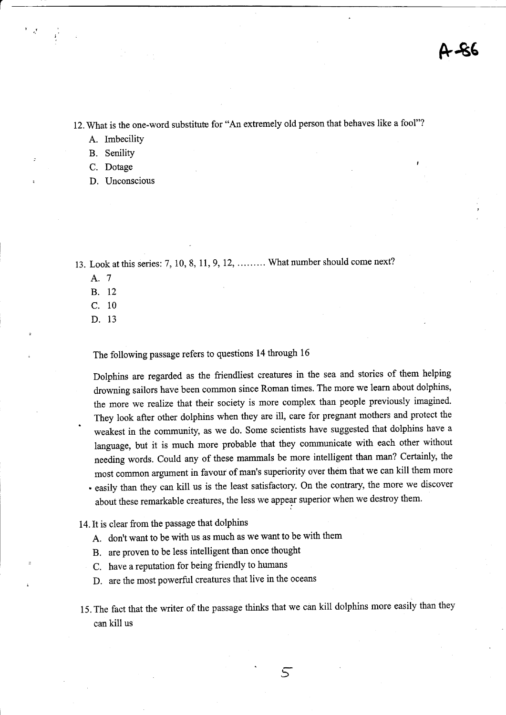12. What is the one-word substifute for "An extremely old person that behaves like a fool"?

A. Imbecility

B. Senility

C. Dotage

D. Unconscious

13. Look at this series: 7, 10, 8, 11, 9, 12, ......... What number should come next?

- A.7
- B. <sup>12</sup>
- c. <sup>10</sup>
- D. <sup>13</sup>

.

The following passage refers to questions 14 through <sup>16</sup>

Dolphins are regarded as the friendliest creatures in the sea and stories of them helping drowning sailors have been common since Roman times. The more we learn about dolphins, the more we realize that their society is more complex than people previously imagined. They look after other dolphins when they are ill, care for pregnant mothers and protect the weakest in the community, as we do. Some scientists have suggested that dolphins have <sup>a</sup> language, but it is much more probable that they communicate with each other without needing words. Could any of these mammals be more intelligent than man? Certainly, the most common argument in favour of man's superiority over them that we can kill them more . easily than they can kill us is the least satisfactory. On the contrary the more we discover about these remarkable creatures, the less we appear superior when we destroy them.

- 14.It is clear from the passage that dolphins
	- A. don't want to be with us as much as we want to be with them
	- B. are proven to be less intelligent than once thought
	- C. have a reputation for being friendly to humans
	- D. are the most powerful creatures that live in the oceans
- 15. The fact that the writer of the passage thinks that we can kill dolphins more easily than they can kill us

5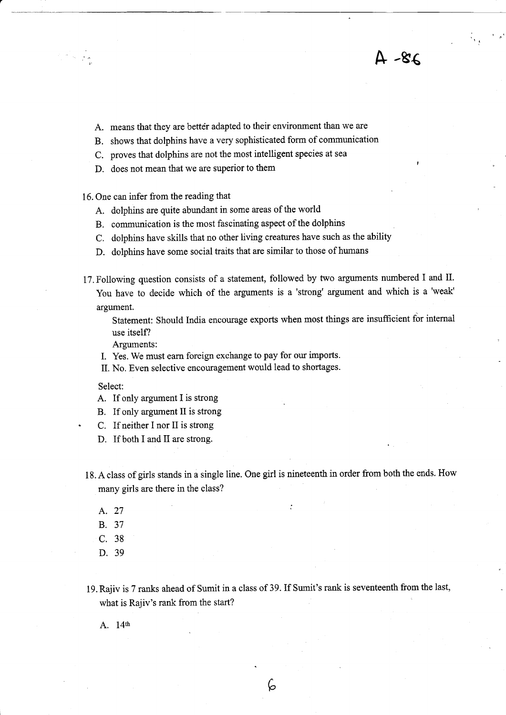A. means that they are better adapted to their environment than we are

B. shows that dolphins have a very sophisticated form of communication

C. proves that dolphins are not the most intelligent species at sea

D. does not mean that we are superior to them

16. One can infer from the reading that

- A. dolphins are quite abundant in some areas of the world
- B. communication is the most fascinating aspect of the dolphins
- C. dolphins have skills that no other living creatures have such as the ability
- D. dolphins have some social traits that are similar to those of humans
- 17. Following question consists of a statement, followed by two arguments numbered I and II. You have to decide which of the arguments is a 'strong' argument and which is a 'weak' argument.

Statement: Should lndia encourage exports when most things are insufficient for intemal use itseif?

 $4 - 8$ 

Arguments:

I. Yes. We must earn foreign exchange to pay for our imports.

II. No. Even selective encowagement would lead to shortages.

#### Select:

- A. If only argument I is strong
- B. If only argument II is strong
- . C. If neither I nor II is strong
- D. If both I and II are strong.
- 18. A class of girls stands in a single line. One girl is nineteenth in order from both the ends. How many girls are there in the class?
	- $A.27$   $\vdots$
	- B. <sup>37</sup>
	- c. <sup>38</sup>
	- D. <sup>39</sup>
- 19. Rajiv is 7 ranks ahead of Sumit in a class of 39. If Sumit's rank is seventeenth from the last, what is Rajiv's rank from the start?

 $\zeta$ 

A. 14th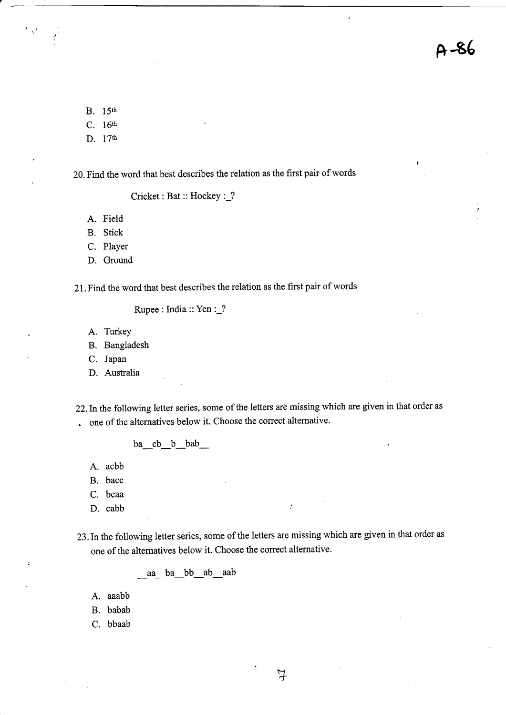B. 15th

 $\mathcal{L}^{\mathcal{A}}$ 

- c. 16th
- D. 17th

20. Find the word that best describes the relation as the first pair of words

Cricket: Bat: Hockey :\_?

- A. Field
- B. Stick
- C. Player
- D. Ground

21. Find the word that best describes the relation as the first pair of words

Rupee : India :: Yen :\_?

- A. Turkey
- B. Bangladesh
- C. Japan
- D. Australia

22. In the following letter series, some of the letters are missing which are given in that order as . one of the alternatives below it. Choose the correct alternative.

- ba\_cb\_b\_bab\_
- A. acbb
- B. bacc
- C. bcaa
- D. cabb
- 23.Inthe following letter series, some of the letters are missing which are given in that order as one of the alternatives below it. Choose the correct alternative.

 $\ddot{\cdot}$ 

aa ba bb ab aab

- A. aaabb
- B. babab
- C. bbaab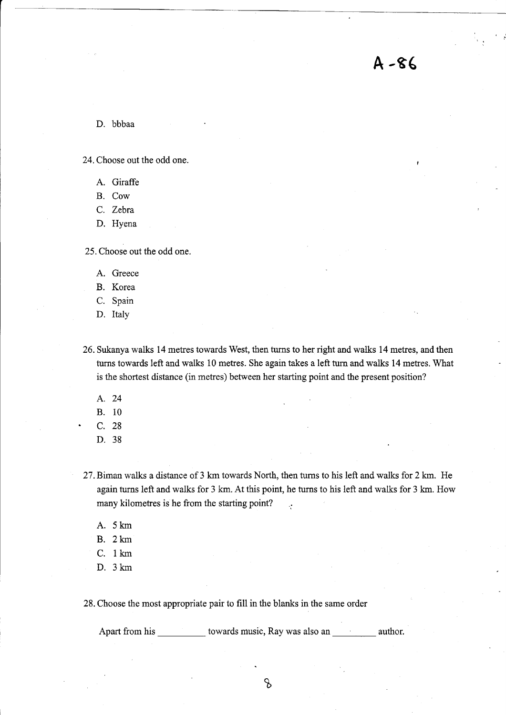A -96

D. bbbaa

24. Choose out the odd one.

A. Giraffe

B. Cow

C. Zebra

D. Hyena

25. Choose out the odd one.

A. Greece

B. Korea

C. Spain

D. Italy

26. Sukanya walks 14 metres towards West, then turns to her right and walks 14 metres, and then turns towards left and walks 10 metres. She again takes a left turn and walks 14 metres. What is the shortest distance (in metres) between her starting point and the present position?

- A. <sup>24</sup>
- B. <sup>10</sup>
- c. <sup>28</sup>
- D. <sup>38</sup>
- 27. Biman walks a distance of 3 km towards North, then turns to his left and walks for 2 km. He again turns left and walks for 3 km. At this point, he turns to his left and walks for 3 km. How many kilometres is he from the starting point?
	- A. 5km
	- B.  $2 \text{ km}$
	- C. 1km
	- D. 3km

28. Choose the most appropriate pair to fill in the blanks in the same order

Apart from his \_\_\_\_\_\_\_\_\_\_\_ towards music, Ray was also an \_\_\_\_\_\_\_\_\_\_ author.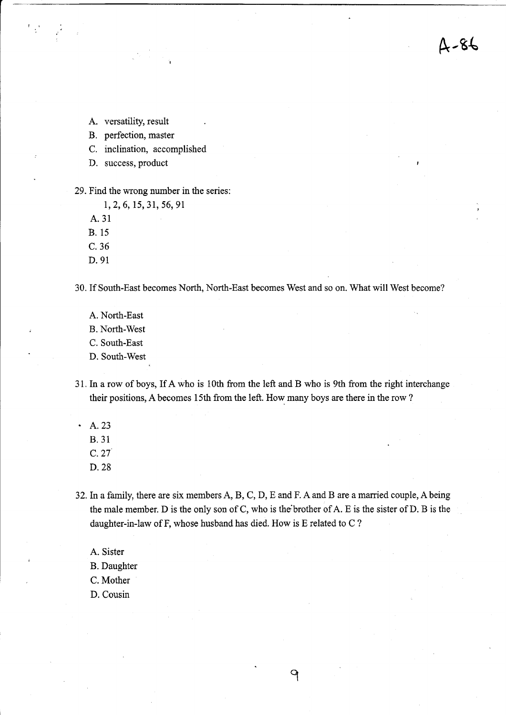&-g(

- A. versatility, result
- B. perfection, master
- C. inclination, accomplished
- D. success, product

#### 29. Find the wrong number in the series:

- 1,2,6,15,31, 56,91
- A.31
- B. 15
- c.36
- D.91

30. If South-East becomes North, North-East becomes West and so on. What will West become?

- A. North-East
- B. North-West
- C. South-East
- D. South-West
- <sup>3</sup>L In a row of boys, If A who is 10th from the left and B who is 9th from the right interchange their positions, A becomes 15th from the left. How many boys are there in the row ?
- $-A.23$ 
	- 8.31
	- c.27
	- D.28
- 32.In a family, there are six members A, B, C, D, E and F. A and B are a married couple, Abeing the male member. D is the only son of C, who is the brother of  $A$ . E is the sister of  $D$ . B is the daughter-in-law of F, whose husband has died. How is E related to C ?
	- A. Sister
	- B. Daughter
	- C. Mother
	- D. Cousin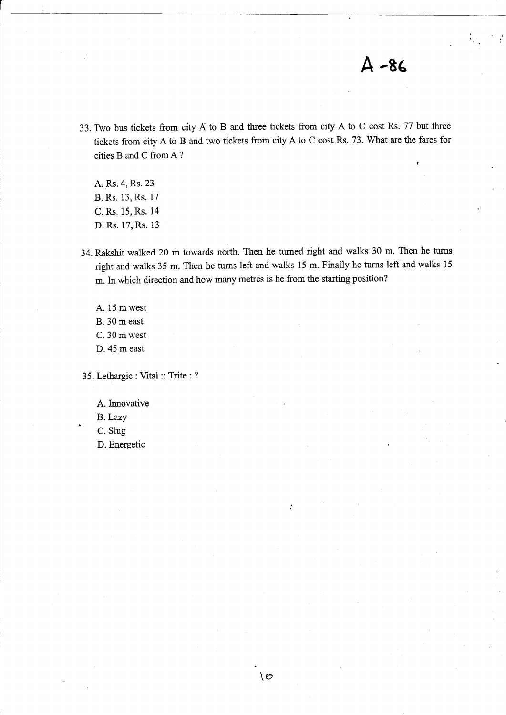# $A - 86$

,

33. Two bus tickets from city A to B and three tickets from city A to C cost Rs. 77 but three tickets from city A to B and two tickets from city A to C cost Rs. 73. What are the fares for cities B and C from A?

A. Rs.4, Rs. 23 B. Rs. 13, Rs. 17 C. Rs. 15, Rs. 14 D. Rs. 17, Rs. 13

34. Rakshit walked 20 m towards north. Then he turned right and walks 30 m. Then he tums right and walks 35 m. Then he turns left and walks 15 m. Finally he turns left and walks <sup>15</sup> m. In which direction and how many metres is he from the starting position?

A. 15 mwest B. 30 m east C. 30 mwest D. 45 m east

35. Lethargic : Vital :: Trite : ?

A.Innovative

B. Lazy<br>C. Slug

D. Energetic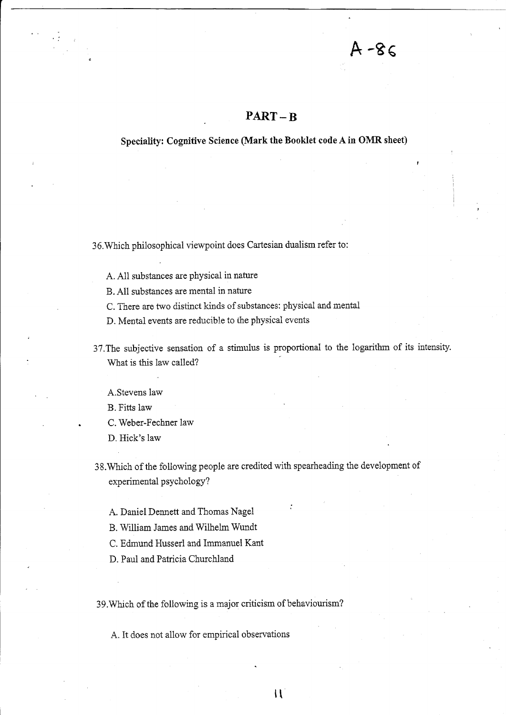## PART-B

 $A - 86$ 

#### Speciality: Cognitive Science (Mark the Booklet code A in OMR sheet)

36. Which philosophical viewpoint does Cartesian dualism refer to:

A. A11 substances are physical in nature

B. A11 substances are mental in nature

C. There are two distinct kinds of substances: physical and mental

D. Mental events are reducible to the physical events

37.The subjective sensation of a stimuius is proportional to the iogarithm of its intensity. What is this law called?

A.Stevens law

B. Fitts law

. C. Weber-Fechner law

D. Hick's law

38.Which of the following people are credited with spearheading the development of experimental psychology?

rt

A. Daniel Dennett and Thomas Nagel

B. William James and Wilhelm Wundt

C. Edmund Husserl and Immanuel Kant

D. Paui and Patricia Churchland

39. Which of the following is a major criticism of behaviourism?

A. It does not allow for empirical observations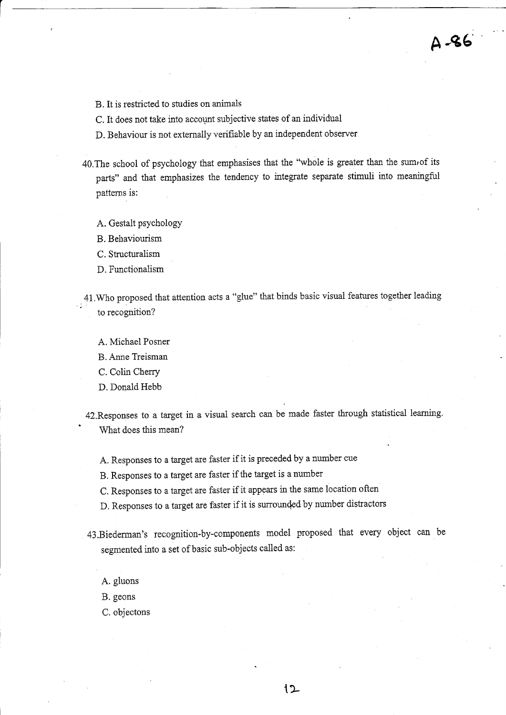- B. It is restricted to studies on animals
- C. It does not take into account subjective states of an individual
- D. Behaviour is not extemally verifiable by an independent observer
- 40. The school of psychology that emphasises that the "whole is greater than the sum of its parts" and that emphasizes the tendency to integrate separate stimuli into meaningful patterns is:

A -e6'

A. Gestalt psychology

B. Beliaviourism

- C. Structuralism
- D. Functionalism
- 41. Who proposed that attention acts a "glue" that binds basic visual features together leading to recognition?
	- A. Michael Posner
	- B. Anne Treisman
	- C. Colin Cherry
	- D. Donald Hebb
- 42. Responses to a target in a visual search can be made faster through statistical learning. ' What does this mean?
	- A. Responses to a target are faster if it is preceded by a number cue

B. Responses to a target are faster if the target is a number

- C. Responses to a target are faster if it appears in the same location often
- D, Responses to a target are faster if it is sunounded by nurnber distractors
- 43.Biedennan's recognition-by-components model proposed that every object can be segmented into a set of basic sub-objects called as:
	- A. gluons
	- B. geons
	- C. objectons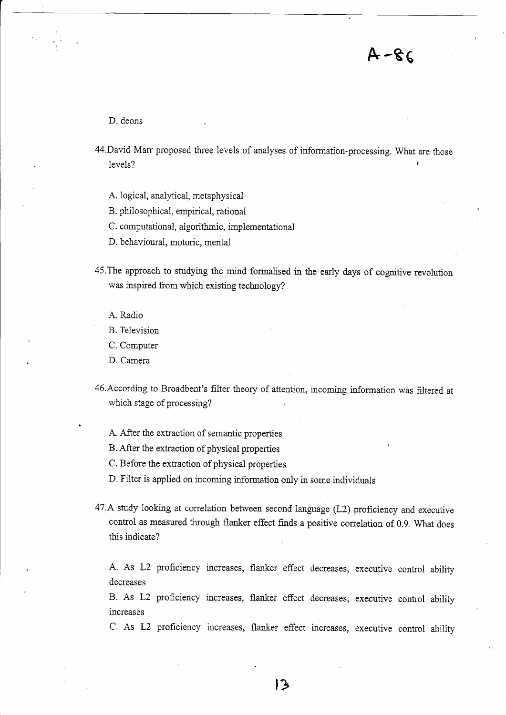D. deons

44. David Marr proposed three levels of analyses of information-processing. What are those levels?

 $A - 86$ 

A. logical, analvtical, metaphysical

B. philosophicai, empirical, rational

C. computational, aigorithmic, implementational

D. behavioural, motoric, mental

45.The approach to studying the mind fomralised in the early days of cognitive revolution was inspired from which existing technology?

A. Radio

B. Television

C. Computer

D. Camera

46.According to Broadbent's filter theory of attention, incoming information was filtered at which stage of processing?

A. After the extraction of semantic properties

B. After the extraction of physical properties

C. Before the extraction of physical properties

D. Filter is appiied on incoming infonnation only in some individuals

47.A study looking at correlation between second ianguage (L2) profrciency and executive control as measured through flanker effect finds a positive conelation of 0.9, What does this indicate?

A. As L2 proficiency increases, flanker effect decreases, executive control abitity decreases

B. As L2 profrciency increases, flanker effect decreases, executive control ability increases

C. As L2 proficiency increases, flanker effect increases, executive control ability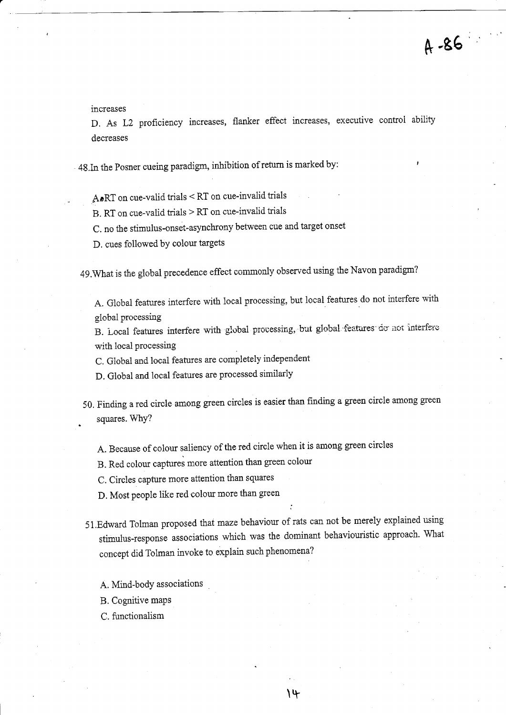increases

D. As L2 proficiency increases, flanker effect increases, executive control ability decreases

 $\cdot$  48.In the Posner cueing paradigm, inhibition of return is marked by:

A.RT on cue-valid trials < RT on cue-invalid trials

B. RT on cue-valid trials  $>$  RT on cue-invalid trials

c. no the stimulus-onset-asynchrony between cue and target onset

D. cues followed bY colour targets

49. What is the global precedence effect commonly observed using the Navon paradigm?

A. Global features interfere with local processing, but local features do not interfere with global processing

B. Local features interfere with global processing, but global features do not interfere with local processing

C. Global and loca1 features are completely independent

D. Global and locai features are processed similarly

50. Finding a red circle among green circles is easier than finding a green circle among green . squares.WhY?

A. Because of colour saliency of the red circle when it is among green circles

B. Red colour captures more attention than green colour

C. Circles capture more attention than squares

D. Most people iike red colour more than green

- 51.Edward Tohnan proposed that mazebehaviour of rats can not be merely explained using stimulus-response associafions which was the dominant behaviouristic approach. What concept did Tolman invoke to explain such phenomena?
	- A. Mind-body associations
	- B. Cognitive maps
	- C. functionalism

 $\lambda$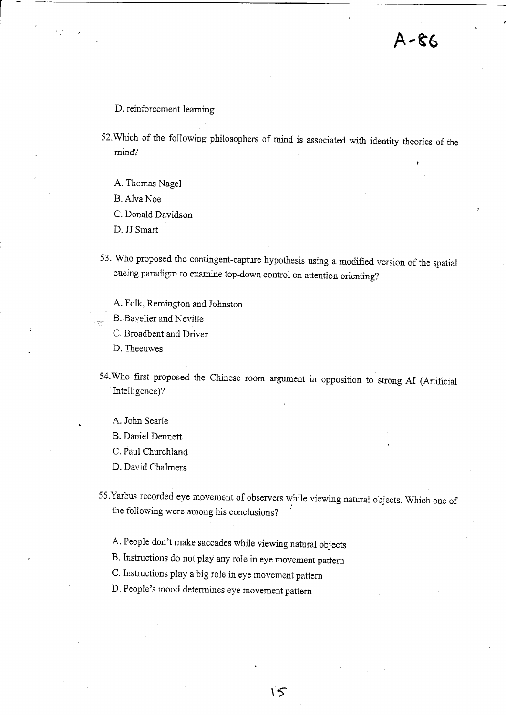I

## D. reinforcement learning

52. Which of the following philosophers of mind is associated with identity theories of the mind?

- A. Thomas Nagel
- B. AIva Noe
- C. Donald Davidson
- D. JJ Smart
- 53. Who proposed the contingent-capture hypothesis using a modified version of the spatial cueing paradigm to examine top-down control on attention orienting?
	- A. Folk, Remington and Jobnston
	- B. Bayelier and Neville
	- C. Broadbent and Driver
	- D. Theeuwes
- 54.Who frst proposed the Chinese room argument in opposition to strong AI (Artificial Intelligence)?
	- A. John Searle
	- B. Daniel Dennett
	- C. Paul Churchland
	- D. David Chalmers
- 55. Yarbus recorded eye movement of observers while viewing natural objects. Which one of the foilowing were among his conclusions?

 $15$ 

- A. People don't make saccades while viewing natural objects
- B- Instructions do not play any role in eye movement pattern
- C. Instructions play a big role in eye movement pattem
- D. People's mood determines eye movement pattern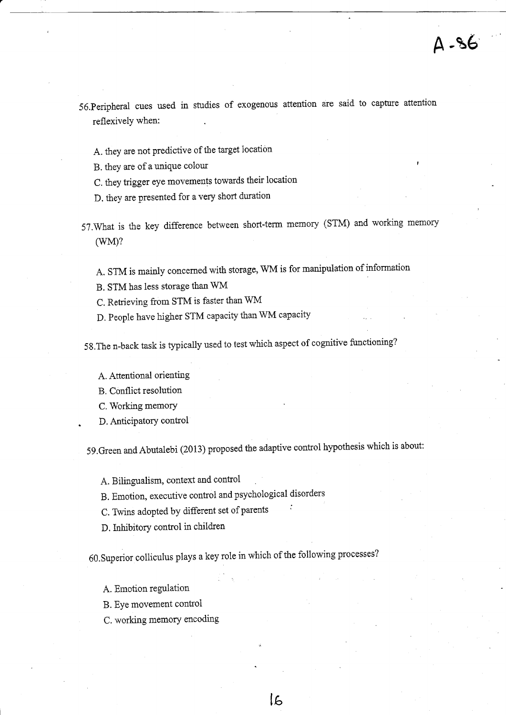- 56.peripheral cues used in studies of exogenous attention are said to capture attention reflexively when:
	- A. they are not predictive of the target location
	- B. they are of a unique colour
	- C. they trigger eye movements towards their location
	- D. they are presented for a very short duration
- S?.What is the key difference between short-term memory (STM) and working memory (wM)?

A. STM is mainly concemed with storage, WM is for manipulation of inforrnation

- B. STM has less storage than WM
- C. Retrieving from STM is faster than WM
- D. People have higher STM capaciiy than WM capacity

58.The n-back task is typically used to test which aspect of cognitive functioning?

A. Attentional orienting

B. Conflict resolution

C. Working memory

D. Anticipatory control

59.Green andAbutalebi (2013) proposed the adaptive controi hypothesis which is about:

A. Bilingualism, context and control

B. Emotion, executive control and psychological disorders

C. Twins adopted by different set of parents

D.Inhibitory confrol in children

60.Superior colliculus piays a key role in which of the following processes?

 $16$ 

A. Ernotion regulation

B. EYe movement control

C. working memory encoding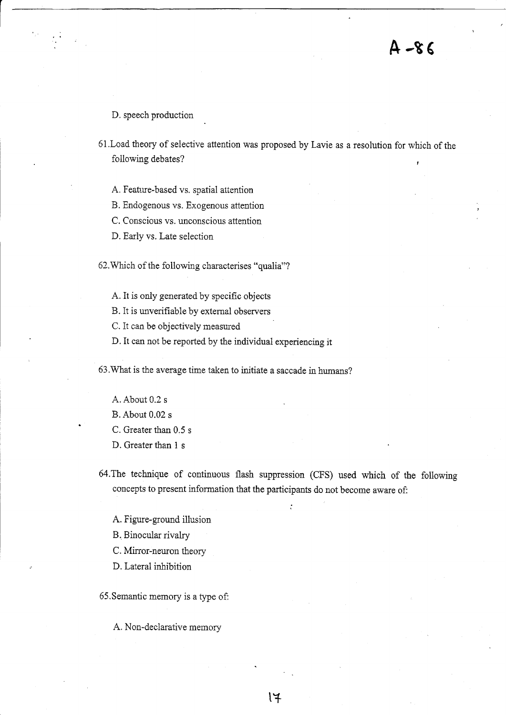D. speech production

61.Load theory of selective attention was proposed by Lavie as a resolution for which of the following debates?

A. Feature-based vs. spatial attention

B. Endogenous vs. Exogenous attention

C. Conscious vs. unconscious attention

D. Early vs. Late selection

62. Which of the following characterises "qualia"?

A. It is only generated by specific objects

B. It is unverifiable by extemal observers

C. It can be objectively measured

D. It can not be reported by the individual experiencing it

63.What is the average time taken to initiate a saccade in humans?

- A. About 0.2 s
- B. About 0.02 s
- C. Greater than 0.5 <sup>s</sup>
- D. Greater than 1 <sup>s</sup>

64.The technique of continuous flash suppression (CFS) used which of the following concepts to present information that the participants do not become aware of:

 $|4$ 

A. Figure-ground illusion

B. Binocular rivalry

C. Mirror-neuron theory

D. Lateral inhibition

65.Semantic memory is a type of:

A. Non-declarative memory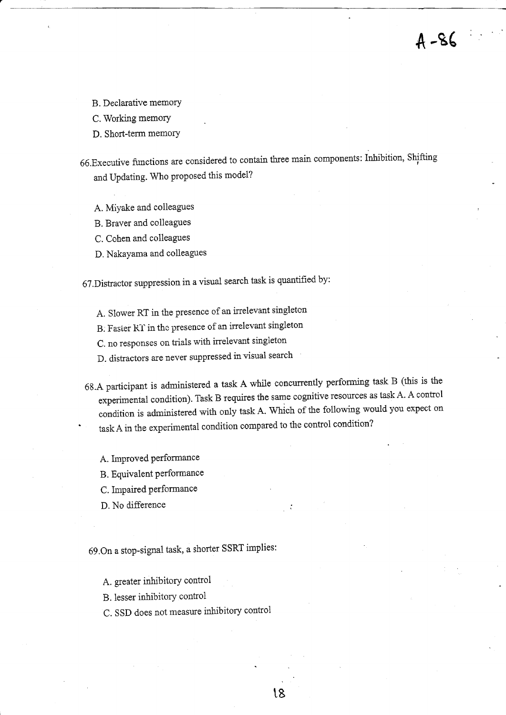B. Declarative memory

C. Working memory

D. Short-term memory

66.Executive functions are considered to contain three main components: Inhibition, shifting and Updating. Who proposed this model?

 $A - 86$ 

A. Miyake and colleagues

B. Braver and colleagues

C. Cohen and colleagues

D. NakaYama and colleagues

61.Distractor suppression in a visual search task is quantified by:

A. Slower RT in the presence of an irrelevant singletcn

B: Faster RT in the presence of an irrelevant singleton

C. no responses on trials with irrelevant singleton

D. distractors are never suppressed in visual search

6g.4 participant is administered a task A while concurrently performing task B (this is the experimental condition). Task B requires the same cognitive resources as task A. A control condition is adrninistered with only task A. Which of the following would you expect on task A in the experimental condition compared to the control condition?

t8

A. Improved performance

B. Equivalent performance

C. Impaired performance

D. No difference

69.On a stop-signal task, a shorter SSRT implies:

A. greater inhibitory control

B. lesser inhibitory control

C. SSD does not measure inhibitory control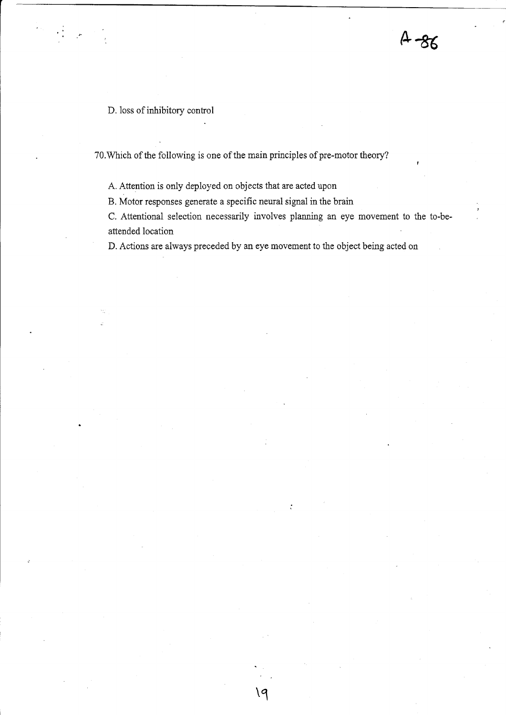D. loss of inhibitory control

÷Ì

70.Which of the following is one of the main principles of pre-motor theory?

A. Attention is only deployed on objects that are acted upon

B. Motor responses generate a specific neural signal in the brain

C. Attentional selection necessarily involves planning an eye movement to the to-beattended location

 $A - 86$ 

D. Actions are always preceded by an eye movement to the object being acted on

 $\mathcal{Q}$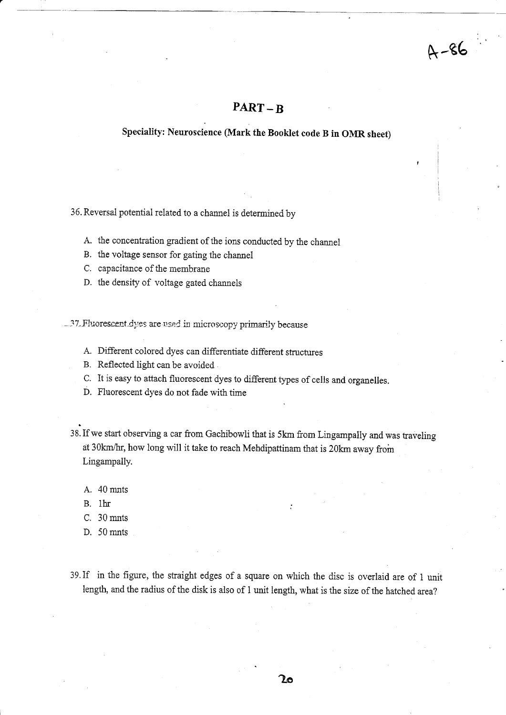## PART-B

 $A - 86$ 

rl

### Speciality: Neuroscience (Mark the Booklet code B in OMR sheet)

36. Reversal potential related to a channel is determined by

A. the concentration gradient of the ions conducted by the channel

B. the voltage sensor for gating the channel

C. capacitance of the membrane

D. the density of voitage gated channels

-37. Fluorescent dyes are used in microscopy primarily because

- A. Different colored dyes can differentiate different structures
- B. Reflected light can be avoided .
- C. It is easy to attach fluorescent dyes to different types of cells and organelles.
- D. Fluorescent dyes do not fade with time
- 38. If we start observing a car from Gachibowli that is 5km from Lingampally and was traveling at 30km/hr, how long will it take to reach Mehdipattinam that is 20km away from Lingampally.
	- A. 40 mnts
	- B. thr
	- C. 30 mnts
	- D. 50 mnts
- 39.If in the figure, the straight edges of a square on rvhich the disc is overlaid are of 1 unit length, and the radius of the disk is also of 1 unit length, what is the size of the hatched area?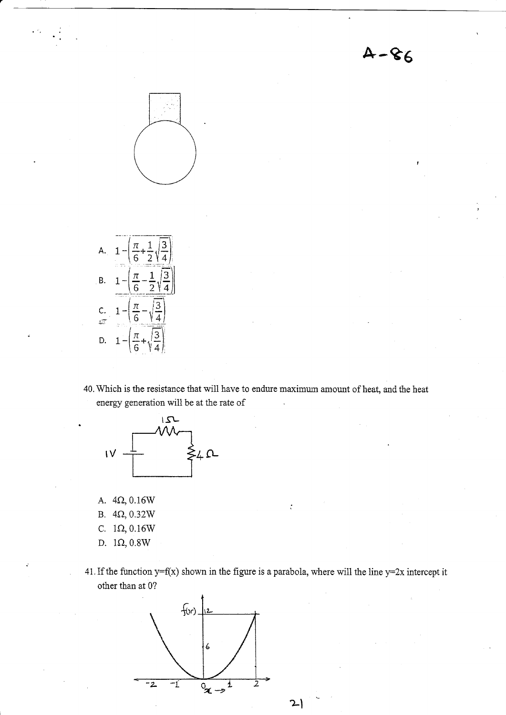$4 - 86$ 





40. Which is the resistance that will have to endure maximum amount of heat, and the heat energy generation will be at the rate of



- A.  $4\Omega$ , 0.16W
- B.  $4\Omega$ , 0.32W
- C.  $1\Omega$ , 0.16W
- D. 1Q,0.8W
- 41. If the function  $y=f(x)$  shown in the figure is a parabola, where will the line  $y=2x$  intercept it other than at 0?

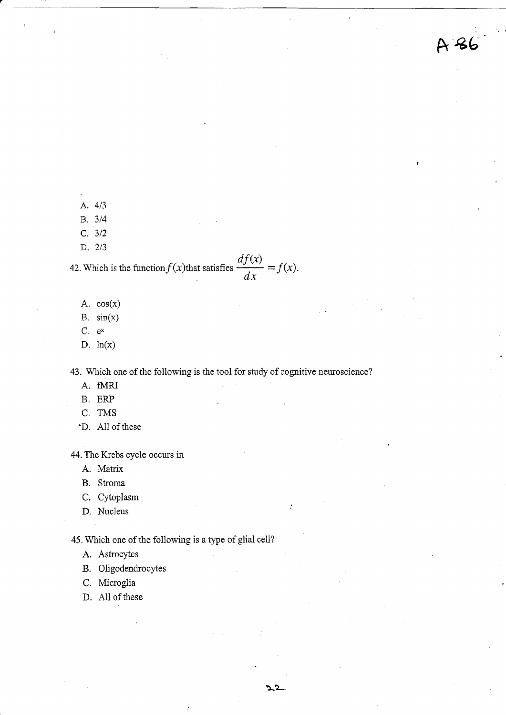ft €6'

- A. <sup>413</sup>
- B. <sup>314</sup>
- c. <sup>312</sup>
- D. <sup>213</sup>

42. Which  $df(x)$ is the function  $f(x)$  that satisfies  $\frac{f(x)}{dx} = f(x)$ .

- A.  $cos(x)$
- $B. sin(x)$
- C. ex
- D.  $ln(x)$

43. Which one of the following is the tool for study of cognitive neuroscience?

- A. fMRI
- B. ERP
- C, TMS
- 'D. All of these

44.The Krebs cycle occurs in

- A. Matrix
- B. Stroma
- C. Cytoplasm
- D. Nucleus

45. Which one of the following is a type of glial cell?

- A. Astrocytes
- B. Oligodendrocytes
- C. Microglia
- D. A1l of these

 $\cdot$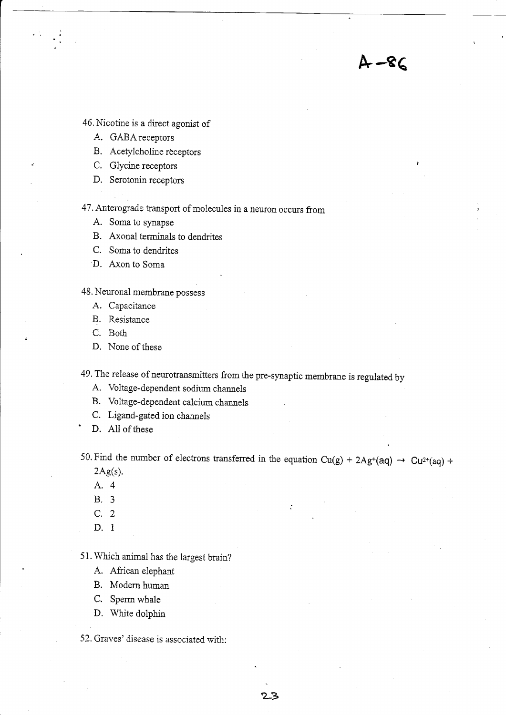46. Nicotine is a direct agonist of

- A. GABA receptors
- B. Acetylcholine receptors
- C. Glycine receptors
- D. Serotonin receptors

<sup>47</sup>. Antercgrade transport of molecules in a neuron occurs from

A. Soma to synapse

B. Axonal terminais to dendrites

- C. Soma to dendrites
- D. Axon to Soma

48. Neuronal membrane possess

- A. Capacitance
- B. Resistance
- C. Both
- D. None of these

49. The release of neurotransmitters from the pre-synaptic membrane is regulated by

- A. Voltage-dependent sodium channels
- B. Voltage-dependent calcium channels
- C. Ligand-gated ion channels
- D. All of these

50. Find the number of electrons transferred in the equation Cu(g) + 2Ag<sup>+</sup>(aq)  $\rightarrow$  Cu<sup>2+</sup>(aq) +  $2Ag(s)$ .

&-e€

- A.4
- 8.3
- C. 2
- D. <sup>1</sup>

51. Which animal has the largest brain?

- A. African elephant
- B. Modern human
- C. Sperm whale
- D. White dolphin

52. Graves' disease is associated with: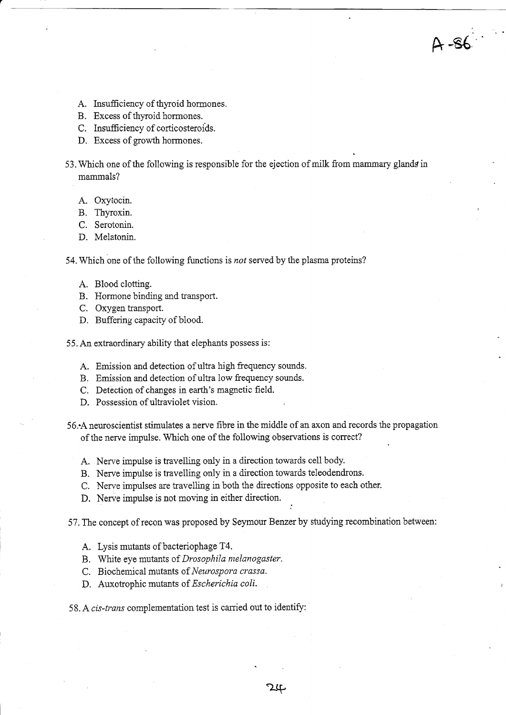- A. Insufficiency of thyroid hormones.
- B. Excess of thyroid hormones.
- C. Insufficiency of corticosteroids.
- D. Excess of growth hormones.

53. Which one of the following is responsible for the ejection of milk from mammary glands in mammals?

 $A - 86$ 

- A. Oxytocin.
- B. Thyroxin.
- C. Serotonin.
- D. Melatonin.

54. Which one of the following functions is not served by the plasma proteins?

- A. Blood clotting.
- B. Hormone binding and transport.
- C. Oxygen transport.
- D. Buffering capacity of blood.
- 55. An extraordinary ability that eiephants possess is:
	- A. Emission and detection of uitra high frequency sounds.
	- B. Emission and detection of ultra low frequency sounds.
	- C. Detection of changes in earth's magnetic field.
	- D. Possession of ultraviolet vision.

56. A neuroscientist stimulates a nerve fibre in the middle of an axon and records the propagation of the nerve impulse. Which one of the following observations is correct?

- A. Nerve impulse is travelling only in a direction towards celi body.
- B. Nerve impulse is travelling only in a direction towards teleodendrons.
- C. Nerve impulses are travelling in both the directions opposite to each other.
- D. Nerve impulse is not moving in either direction.

57. The concept of recon was proposed by Seymour Benzer by studying recombination between:

i

- A. Lysis mutants of bacteriophage T4.
- B. White eye mutants of Drosophila melanogaster.
- C. Biochemical mutants of Neurospora crassa.
- D. Auxotrophic mutants of Escherichia coli.

58. A cis-trans complementation test is carried out to identify: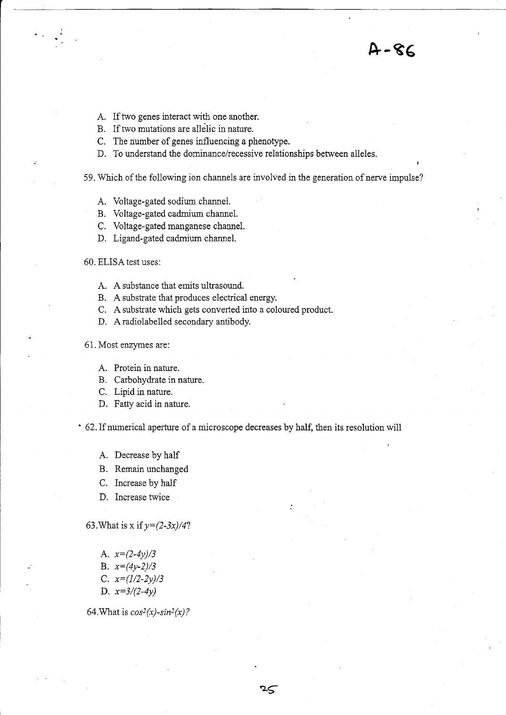$A - 86$ 

- A. If two genes interact with one another.
- B. If two mutations are allelic in nature.
- C. The number of genes influencing a phenotype.
- D. To understand the dominance/recessive relationships between alleles.
- 59. Which of the following ion channels are involved in the generation of nerve impulse?
	- A. Voltage-gated sodium channei.
	- B. Voltage-gated cadmium channel.
	- C. Voltage-gated manganese channel.
	- D. Ligand-gated cadmium channel.
- 60. ELISA test uses:
	- A. A substance that emits ultrasound.
	- B. A substrate that produces electrical energy.
	- C. A substrate which gets converted into a coloured product.
	- D. Aradiolabelied secondary antibody.
- 61. Most enzynes are:
	- A. Protein in nature.
	- B. Carbohydrate in nature.
	- C. Lipid in nature.
	- D. Fatty acid in nature.

' 62. If numerical aperfure of a microscope decreases by half, then its resolution will

.<br>ק

- A. Decrease by half
- B. Remain unchanged
- C. Increase by haif
- D. Increase twice
- 63. What is x if  $y=(2-3x)/4$ ?
	- A.  $x=(2-4y)/3$
	- B.  $x=(4y-2)/3$
	- C.  $x=(1/2-2y)/3$
	- D.  $x=3/(2-4y)$

64. What is  $cos^2(x)$ -sin<sup>2</sup>(x)?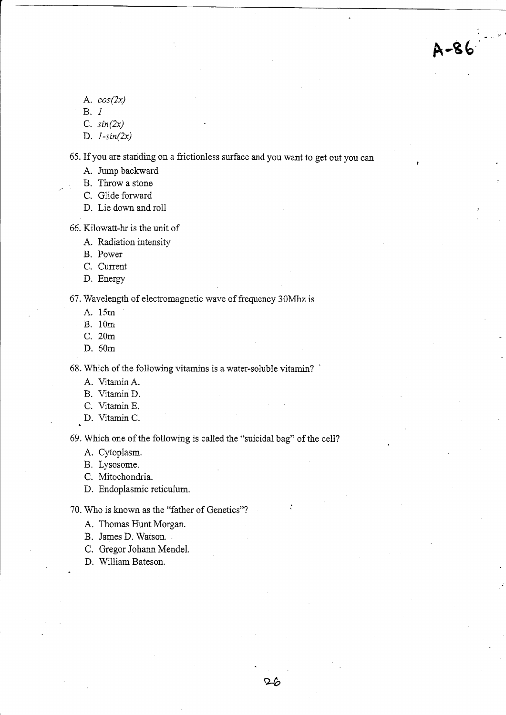- A.  $cos(2x)$
- B. <sup>1</sup>
- C.  $sin(2x)$
- D.  $1-sin(2x)$

65. If you are stariding on a frictionless surface and you want to get out you can

A-86

- A. Jump backward
- B. Throw a stone
- C. Glide forward
- D. Lie down and roil

66. Kilowatt-hr is the unit of

- A. Radiation intensity
- B. Power
- C. Current
- D. Energy

67. Wavelength of electromagnetic wave of frequency 30Mhz is

- A. 15rn
- B. 10rri.
- C. 20m
- D. 60m

68. Which of the following vitamins is a water-soluble vitamin? '

- A. VitaminA.
- B. Vitamin D.
- C. Vitamin E.
- D. Vitamin C.

69. Which one of the following is called the "suicidal bag" of the cell?

A. Cytoplasm.

B. Lysosome.

- C. Mitochondria.
- D. Endoplasmic reticulum.

70. Who is known as the "father of Genetics"?

- A, Thomas Hunt Morgan.
- B. James D. Watson. .
- C. Gregor Johann Mendel.
- D. William Bateson.